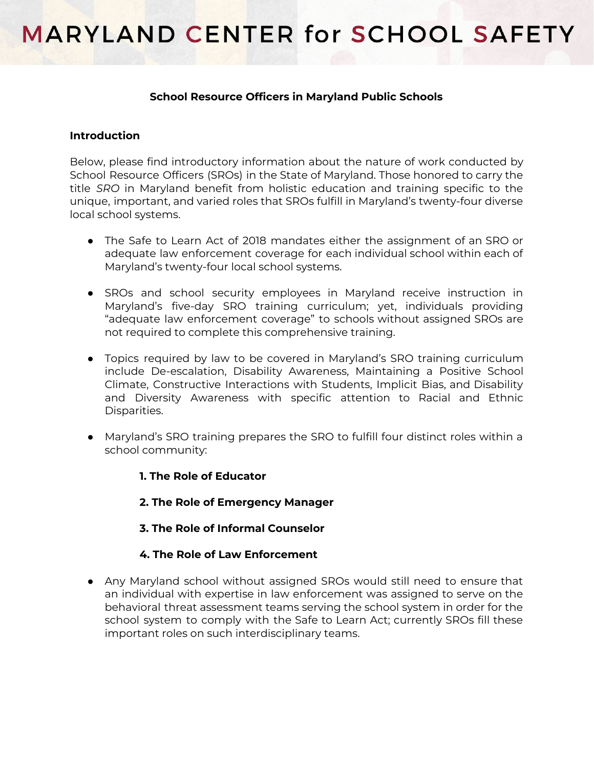### **School Resource Officers in Maryland Public Schools**

### **Introduction**

Below, please find introductory information about the nature of work conducted by School Resource Officers (SROs) in the State of Maryland. Those honored to carry the title *SRO* in Maryland benefit from holistic education and training specific to the unique, important, and varied roles that SROs fulfill in Maryland's twenty-four diverse local school systems.

- The Safe to Learn Act of 2018 mandates either the assignment of an SRO or adequate law enforcement coverage for each individual school within each of Maryland's twenty-four local school systems.
- SROs and school security employees in Maryland receive instruction in Maryland's five-day SRO training curriculum; yet, individuals providing "adequate law enforcement coverage" to schools without assigned SROs are not required to complete this comprehensive training.
- Topics required by law to be covered in Maryland's SRO training curriculum include De-escalation, Disability Awareness, Maintaining a Positive School Climate, Constructive Interactions with Students, Implicit Bias, and Disability and Diversity Awareness with specific attention to Racial and Ethnic Disparities.
- Maryland's SRO training prepares the SRO to fulfill four distinct roles within a school community:

### **1. The Role of Educator**

**2. The Role of Emergency Manager**

## **3. The Role of Informal Counselor**

## **4. The Role of Law Enforcement**

● Any Maryland school without assigned SROs would still need to ensure that an individual with expertise in law enforcement was assigned to serve on the behavioral threat assessment teams serving the school system in order for the school system to comply with the Safe to Learn Act; currently SROs fill these important roles on such interdisciplinary teams.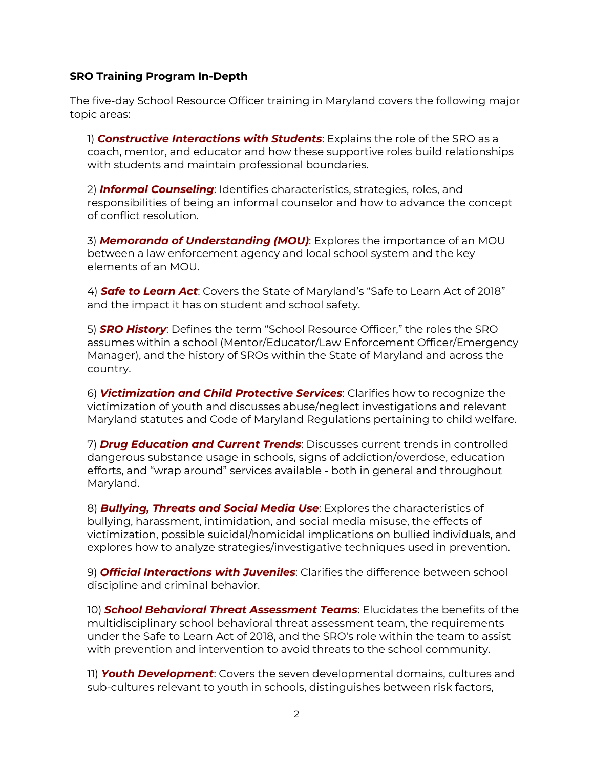### **SRO Training Program In-Depth**

The five-day School Resource Officer training in Maryland covers the following major topic areas:

1) *Constructive Interactions with Students*: Explains the role of the SRO as a coach, mentor, and educator and how these supportive roles build relationships with students and maintain professional boundaries.

2) *Informal Counseling*: Identifies characteristics, strategies, roles, and responsibilities of being an informal counselor and how to advance the concept of conflict resolution.

3) *Memoranda of Understanding (MOU)*: Explores the importance of an MOU between a law enforcement agency and local school system and the key elements of an MOU.

4) *Safe to Learn Act*: Covers the State of Maryland's "Safe to Learn Act of 2018" and the impact it has on student and school safety.

5) *SRO History*: Defines the term "School Resource Officer," the roles the SRO assumes within a school (Mentor/Educator/Law Enforcement Officer/Emergency Manager), and the history of SROs within the State of Maryland and across the country.

6) *Victimization and Child Protective Services*: Clarifies how to recognize the victimization of youth and discusses abuse/neglect investigations and relevant Maryland statutes and Code of Maryland Regulations pertaining to child welfare.

7) *Drug Education and Current Trends*: Discusses current trends in controlled dangerous substance usage in schools, signs of addiction/overdose, education efforts, and "wrap around" services available - both in general and throughout Maryland.

8) *Bullying, Threats and Social Media Use*: Explores the characteristics of bullying, harassment, intimidation, and social media misuse, the effects of victimization, possible suicidal/homicidal implications on bullied individuals, and explores how to analyze strategies/investigative techniques used in prevention.

9) *Official Interactions with Juveniles*: Clarifies the difference between school discipline and criminal behavior.

10) *School Behavioral Threat Assessment Teams*: Elucidates the benefits of the multidisciplinary school behavioral threat assessment team, the requirements under the Safe to Learn Act of 2018, and the SRO's role within the team to assist with prevention and intervention to avoid threats to the school community.

11) *Youth Development*: Covers the seven developmental domains, cultures and sub-cultures relevant to youth in schools, distinguishes between risk factors,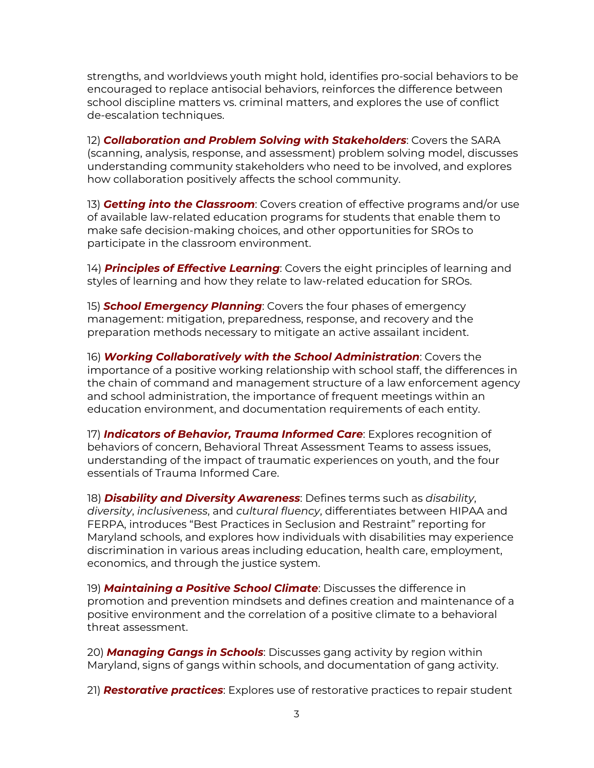strengths, and worldviews youth might hold, identifies pro-social behaviors to be encouraged to replace antisocial behaviors, reinforces the difference between school discipline matters vs. criminal matters, and explores the use of conflict de-escalation techniques.

12) *Collaboration and Problem Solving with Stakeholders*: Covers the SARA (scanning, analysis, response, and assessment) problem solving model, discusses understanding community stakeholders who need to be involved, and explores how collaboration positively affects the school community.

13) *Getting into the Classroom*: Covers creation of effective programs and/or use of available law-related education programs for students that enable them to make safe decision-making choices, and other opportunities for SROs to participate in the classroom environment.

14) *Principles of Effective Learning*: Covers the eight principles of learning and styles of learning and how they relate to law-related education for SROs.

15) *School Emergency Planning*: Covers the four phases of emergency management: mitigation, preparedness, response, and recovery and the preparation methods necessary to mitigate an active assailant incident.

16) *Working Collaboratively with the School Administration*: Covers the importance of a positive working relationship with school staff, the differences in the chain of command and management structure of a law enforcement agency and school administration, the importance of frequent meetings within an education environment, and documentation requirements of each entity.

17) *Indicators of Behavior, Trauma Informed Care*: Explores recognition of behaviors of concern, Behavioral Threat Assessment Teams to assess issues, understanding of the impact of traumatic experiences on youth, and the four essentials of Trauma Informed Care.

18) *Disability and Diversity Awareness*: Defines terms such as *disability*, *diversity*, *inclusiveness*, and *cultural fluency*, differentiates between HIPAA and FERPA, introduces "Best Practices in Seclusion and Restraint" reporting for Maryland schools, and explores how individuals with disabilities may experience discrimination in various areas including education, health care, employment, economics, and through the justice system.

19) *Maintaining a Positive School Climate*: Discusses the difference in promotion and prevention mindsets and defines creation and maintenance of a positive environment and the correlation of a positive climate to a behavioral threat assessment.

20) *Managing Gangs in Schools*: Discusses gang activity by region within Maryland, signs of gangs within schools, and documentation of gang activity.

21) *Restorative practices*: Explores use of restorative practices to repair student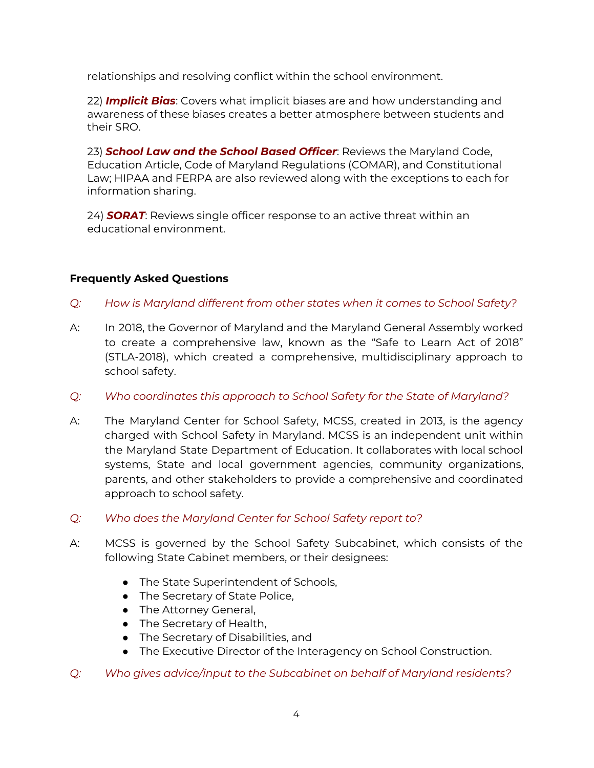relationships and resolving conflict within the school environment.

22) *Implicit Bias*: Covers what implicit biases are and how understanding and awareness of these biases creates a better atmosphere between students and their SRO.

23) *School Law and the School Based Officer*: Reviews the Maryland Code, Education Article, Code of Maryland Regulations (COMAR), and Constitutional Law; HIPAA and FERPA are also reviewed along with the exceptions to each for information sharing.

24) *SORAT*: Reviews single officer response to an active threat within an educational environment.

# **Frequently Asked Questions**

- *Q: How is Maryland different from other states when it comes to School Safety?*
- A: In 2018, the Governor of Maryland and the Maryland General Assembly worked to create a comprehensive law, known as the "Safe to Learn Act of 2018" (STLA-2018), which created a comprehensive, multidisciplinary approach to school safety.
- *Q: Who coordinates this approach to School Safety for the State of Maryland?*
- A: The Maryland Center for School Safety, MCSS, created in 2013, is the agency charged with School Safety in Maryland. MCSS is an independent unit within the Maryland State Department of Education. It collaborates with local school systems, State and local government agencies, community organizations, parents, and other stakeholders to provide a comprehensive and coordinated approach to school safety.
- *Q: Who does the Maryland Center for School Safety report to?*
- A: MCSS is governed by the School Safety Subcabinet, which consists of the following State Cabinet members, or their designees:
	- The State Superintendent of Schools,
	- The Secretary of State Police,
	- The Attorney General,
	- The Secretary of Health,
	- The Secretary of Disabilities, and
	- The Executive Director of the Interagency on School Construction.
- *Q: Who gives advice/input to the Subcabinet on behalf of Maryland residents?*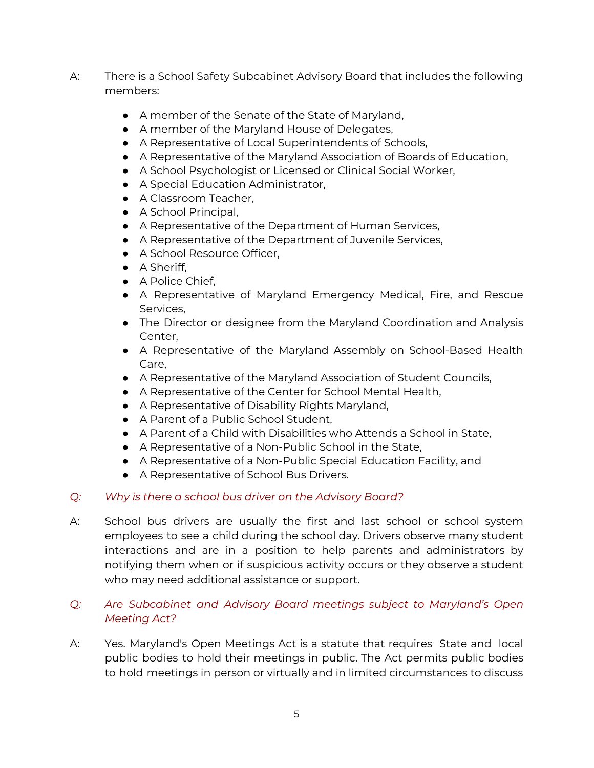- A: There is a School Safety Subcabinet Advisory Board that includes the following members:
	- A member of the Senate of the State of Maryland,
	- A member of the Maryland House of Delegates,
	- A Representative of Local Superintendents of Schools,
	- A Representative of the Maryland Association of Boards of Education,
	- A School Psychologist or Licensed or Clinical Social Worker,
	- A Special Education Administrator,
	- A Classroom Teacher,
	- A School Principal,
	- A Representative of the Department of Human Services,
	- A Representative of the Department of Juvenile Services,
	- A School Resource Officer,
	- A Sheriff,
	- A Police Chief,
	- A Representative of Maryland Emergency Medical, Fire, and Rescue Services,
	- The Director or designee from the Maryland Coordination and Analysis Center,
	- A Representative of the Maryland Assembly on School-Based Health Care,
	- A Representative of the Maryland Association of Student Councils,
	- A Representative of the Center for School Mental Health,
	- A Representative of Disability Rights Maryland,
	- A Parent of a Public School Student,
	- A Parent of a Child with Disabilities who Attends a School in State,
	- A Representative of a Non-Public School in the State,
	- A Representative of a Non-Public Special Education Facility, and
	- A Representative of School Bus Drivers.

# *Q: Why is there a school bus driver on the Advisory Board?*

A: School bus drivers are usually the first and last school or school system employees to see a child during the school day. Drivers observe many student interactions and are in a position to help parents and administrators by notifying them when or if suspicious activity occurs or they observe a student who may need additional assistance or support.

# *Q: Are Subcabinet and Advisory Board meetings subject to Maryland's Open Meeting Act?*

A: Yes. Maryland's Open Meetings Act is a statute that requires State and local public bodies to hold their meetings in public. The Act permits public bodies to hold meetings in person or virtually and in limited circumstances to discuss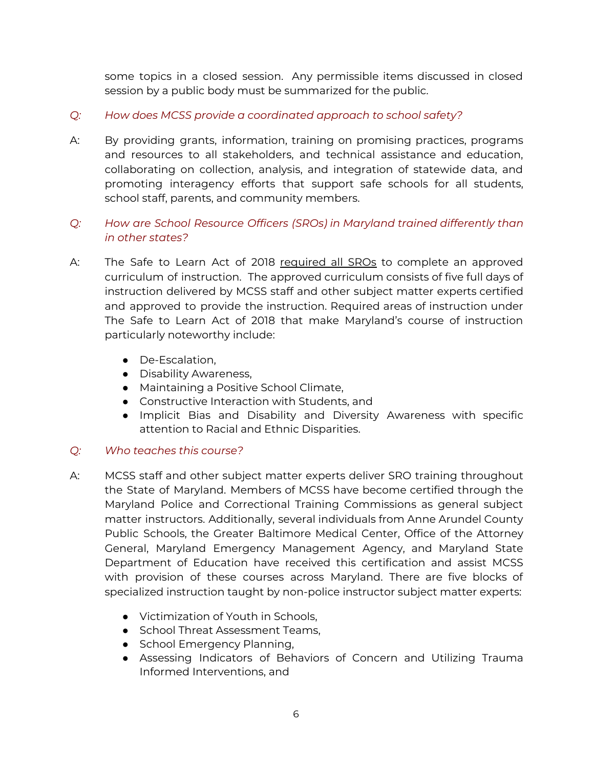some topics in a closed session. Any permissible items discussed in closed session by a public body must be summarized for the public.

- *Q: How does MCSS provide a coordinated approach to school safety?*
- A: By providing grants, information, training on promising practices, programs and resources to all stakeholders, and technical assistance and education, collaborating on collection, analysis, and integration of statewide data, and promoting interagency efforts that support safe schools for all students, school staff, parents, and community members.
- *Q: How are School Resource Officers (SROs) in Maryland trained differently than in other states?*
- A: The Safe to Learn Act of 2018 required all SROs to complete an approved curriculum of instruction. The approved curriculum consists of five full days of instruction delivered by MCSS staff and other subject matter experts certified and approved to provide the instruction. Required areas of instruction under The Safe to Learn Act of 2018 that make Maryland's course of instruction particularly noteworthy include:
	- De-Escalation,
	- Disability Awareness,
	- Maintaining a Positive School Climate,
	- Constructive Interaction with Students, and
	- Implicit Bias and Disability and Diversity Awareness with specific attention to Racial and Ethnic Disparities.

## *Q: Who teaches this course?*

- A: MCSS staff and other subject matter experts deliver SRO training throughout the State of Maryland. Members of MCSS have become certified through the Maryland Police and Correctional Training Commissions as general subject matter instructors. Additionally, several individuals from Anne Arundel County Public Schools, the Greater Baltimore Medical Center, Office of the Attorney General, Maryland Emergency Management Agency, and Maryland State Department of Education have received this certification and assist MCSS with provision of these courses across Maryland. There are five blocks of specialized instruction taught by non-police instructor subject matter experts:
	- Victimization of Youth in Schools,
	- School Threat Assessment Teams,
	- School Emergency Planning,
	- Assessing Indicators of Behaviors of Concern and Utilizing Trauma Informed Interventions, and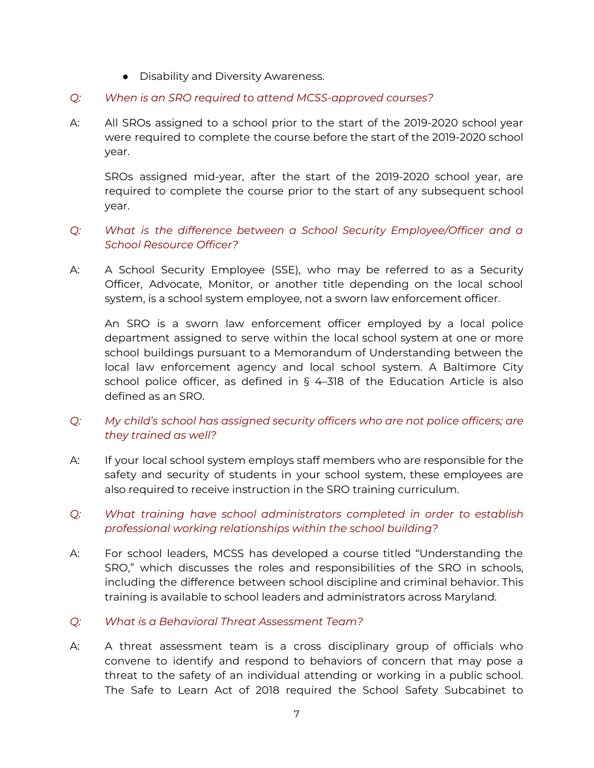- Disability and Diversity Awareness.
- *Q: When is an SRO required to attend MCSS-approved courses?*
- A: All SROs assigned to a school prior to the start of the 2019-2020 school year were required to complete the course before the start of the 2019-2020 school year.

SROs assigned mid-year, after the start of the 2019-2020 school year, are required to complete the course prior to the start of any subsequent school year.

# *Q: What is the difference between a School Security Employee/Officer and a School Resource Officer?*

A: A School Security Employee (SSE), who may be referred to as a Security Officer, Advocate, Monitor, or another title depending on the local school system, is a school system employee, not a sworn law enforcement officer.

An SRO is a sworn law enforcement officer employed by a local police department assigned to serve within the local school system at one or more school buildings pursuant to a Memorandum of Understanding between the local law enforcement agency and local school system. A Baltimore City school police officer, as defined in § 4–318 of the Education Article is also defined as an SRO.

# *Q: My child's school has assigned security officers who are not police officers; are they trained as well?*

- A: If your local school system employs staff members who are responsible for the safety and security of students in your school system, these employees are also required to receive instruction in the SRO training curriculum.
- *Q: What training have school administrators completed in order to establish professional working relationships within the school building?*
- A: For school leaders, MCSS has developed a course titled "Understanding the SRO," which discusses the roles and responsibilities of the SRO in schools, including the difference between school discipline and criminal behavior. This training is available to school leaders and administrators across Maryland.
- *Q: What is a Behavioral Threat Assessment Team?*
- A: A threat assessment team is a cross disciplinary group of officials who convene to identify and respond to behaviors of concern that may pose a threat to the safety of an individual attending or working in a public school. The Safe to Learn Act of 2018 required the School Safety Subcabinet to